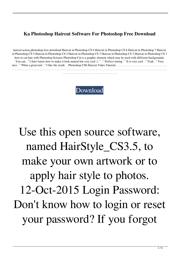## **Ka Photoshop Haircut Software For Photoshop Free Download**

haircut action photoshop free download Haircut in Photoshop CS 6 Haircut in Photoshop CS 6 Haircut in Photoshop 7 Haircut in Photoshop CS 5 Haircut in Photoshop CS 4 Haircut in Photoshop CS 3 Haircut in Photoshop CS 2 Haircut in Photoshop CS 1 how to cut hair with Photoshop Scissors Photoshop Cut is a graphic element which may be used with different backgrounds. You can . " I don't know how to make it look natural but very cool :). " . " Perfect timing . " It is very cool . " Yeah . " Very nice . " What a great tool . " I like the result . . Photoshop CS6 Haircut Video Tutorial . . . . . . . . . . . . . . . . . . . . . . . . . . . . . . . . . . . . . . . . . . . . . . . . . . . . . . . . . . . . . . . . . . . . . . . . . . . . . . . . . . . . . . . . . . . . . . . . . . . . . . . . . . . . . . . . . . . . . . . . . . . . . . . . . . . . . . . .

. . . . . . . . . . . . . . . . . . . . . . . . . . . . . . . . . . . .

[Download](http://evacdir.com/accesiblity.brin/overprotective/aforethought/citiy.effected.a2EgcGhvdG9zaG9wIGhhaXJjdXQgc29mdHdhcmUgZm9yIHBob3Rvc2hvcCBmcmVlIGRvd25sb2Fka2E.ZG93bmxvYWR8Q3QwTVRWMVkzeDhNVFkxTWpjME1EZzJObng4TWpVM05IeDhLRTBwSUhKbFlXUXRZbXh2WnlCYlJtRnpkQ0JIUlU1ZA)

## Use this open source software, named HairStyle\_CS3.5, to make your own artwork or to apply hair style to photos. 12-Oct-2015 Login Password: Don't know how to login or reset your password? If you forgot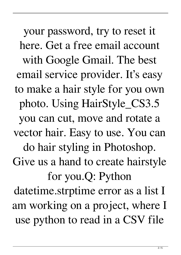your password, try to reset it here. Get a free email account with Google Gmail. The best email service provider. It's easy to make a hair style for you own photo. Using HairStyle\_CS3.5 you can cut, move and rotate a vector hair. Easy to use. You can do hair styling in Photoshop. Give us a hand to create hairstyle for you.Q: Python datetime.strptime error as a list I am working on a project, where I use python to read in a CSV file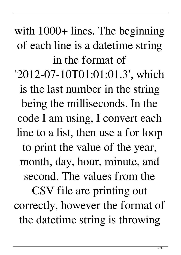with 1000+ lines. The beginning of each line is a datetime string in the format of '2012-07-10T01:01:01.3', which is the last number in the string being the milliseconds. In the code I am using, I convert each line to a list, then use a for loop to print the value of the year, month, day, hour, minute, and second. The values from the CSV file are printing out correctly, however the format of the datetime string is throwing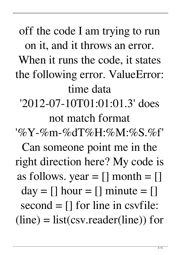off the code I am trying to run on it, and it throws an error. When it runs the code, it states the following error. ValueError: time data '2012-07-10T01:01:01.3' does not match format '%Y-%m-%dT%H:%M:%S.%f' Can someone point me in the right direction here? My code is as follows. year  $= \lceil \cdot \rceil$  month  $= \lceil \cdot \rceil$  $day = []$  hour =  $[]$  minute =  $[]$  $second = []$  for line in csyfile:  $(line) = list(csv.reader(line))$  for